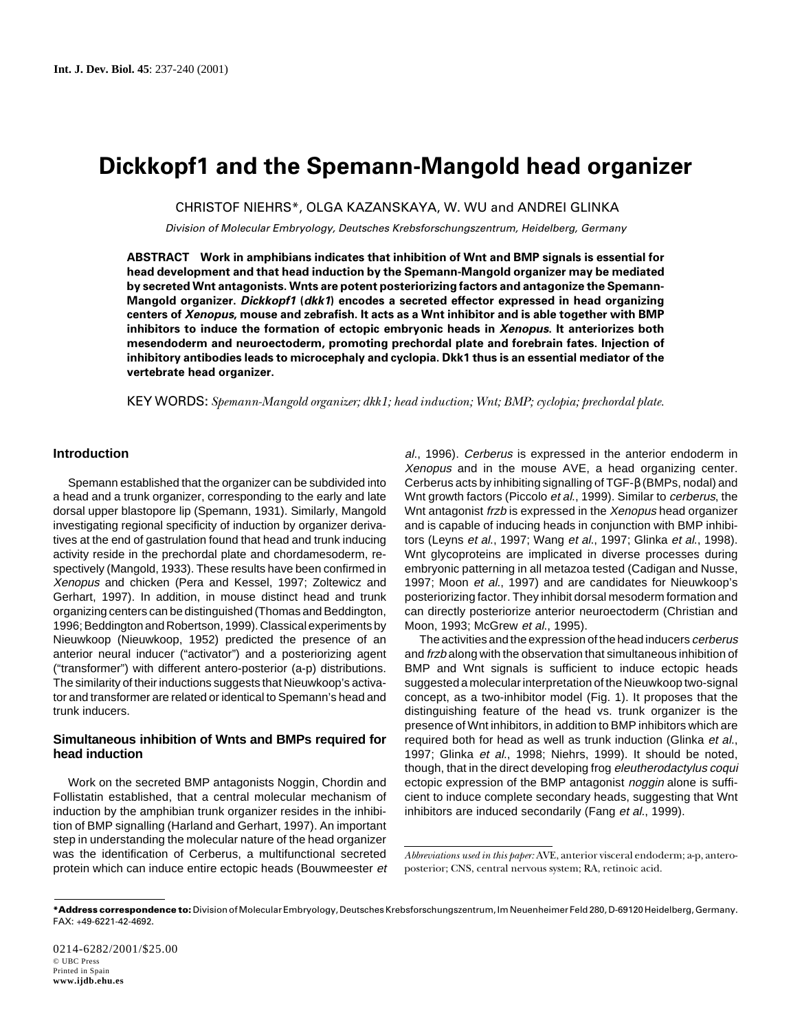# **Dickkopf1 and the Spemann-Mangold head organizer**

CHRISTOF NIEHRS\*, OLGA KAZANSKAYA, W. WU and ANDREI GLINKA

Division of Molecular Embryology, Deutsches Krebsforschungszentrum, Heidelberg, Germany

**ABSTRACT Work in amphibians indicates that inhibition of Wnt and BMP signals is essential for head development and that head induction by the Spemann-Mangold organizer may be mediated by secreted Wnt antagonists. Wnts are potent posteriorizing factors and antagonize the Spemann-Mangold organizer. Dickkopf1 (dkk1) encodes a secreted effector expressed in head organizing centers of Xenopus, mouse and zebrafish. It acts as a Wnt inhibitor and is able together with BMP inhibitors to induce the formation of ectopic embryonic heads in Xenopus. It anteriorizes both mesendoderm and neuroectoderm, promoting prechordal plate and forebrain fates. Injection of inhibitory antibodies leads to microcephaly and cyclopia. Dkk1 thus is an essential mediator of the vertebrate head organizer.**

KEY WORDS: *Spemann-Mangold organizer; dkk1; head induction; Wnt; BMP; cyclopia; prechordal plate.*

## **Introduction**

Spemann established that the organizer can be subdivided into a head and a trunk organizer, corresponding to the early and late dorsal upper blastopore lip (Spemann, 1931). Similarly, Mangold investigating regional specificity of induction by organizer derivatives at the end of gastrulation found that head and trunk inducing activity reside in the prechordal plate and chordamesoderm, respectively (Mangold, 1933). These results have been confirmed in Xenopus and chicken (Pera and Kessel, 1997; Zoltewicz and Gerhart, 1997). In addition, in mouse distinct head and trunk organizing centers can be distinguished (Thomas and Beddington, 1996; Beddington and Robertson, 1999). Classical experiments by Nieuwkoop (Nieuwkoop, 1952) predicted the presence of an anterior neural inducer ("activator") and a posteriorizing agent ("transformer") with different antero-posterior (a-p) distributions. The similarity of their inductions suggests that Nieuwkoop's activator and transformer are related or identical to Spemann's head and trunk inducers.

#### **Simultaneous inhibition of Wnts and BMPs required for head induction**

Work on the secreted BMP antagonists Noggin, Chordin and Follistatin established, that a central molecular mechanism of induction by the amphibian trunk organizer resides in the inhibition of BMP signalling (Harland and Gerhart, 1997). An important step in understanding the molecular nature of the head organizer was the identification of Cerberus, a multifunctional secreted protein which can induce entire ectopic heads (Bouwmeester et

al., 1996). Cerberus is expressed in the anterior endoderm in Xenopus and in the mouse AVE, a head organizing center. Cerberus acts by inhibiting signalling of TGF-β (BMPs, nodal) and Wnt growth factors (Piccolo et al., 1999). Similar to cerberus, the Wnt antagonist frzb is expressed in the Xenopus head organizer and is capable of inducing heads in conjunction with BMP inhibitors (Leyns et al., 1997; Wang et al., 1997; Glinka et al., 1998). Wnt glycoproteins are implicated in diverse processes during embryonic patterning in all metazoa tested (Cadigan and Nusse, 1997; Moon et al., 1997) and are candidates for Nieuwkoop's posteriorizing factor. They inhibit dorsal mesoderm formation and can directly posteriorize anterior neuroectoderm (Christian and Moon, 1993; McGrew et al., 1995).

The activities and the expression of the head inducers cerberus and frzb along with the observation that simultaneous inhibition of BMP and Wnt signals is sufficient to induce ectopic heads suggested a molecular interpretation of the Nieuwkoop two-signal concept, as a two-inhibitor model (Fig. 1). It proposes that the distinguishing feature of the head vs. trunk organizer is the presence of Wnt inhibitors, in addition to BMP inhibitors which are required both for head as well as trunk induction (Glinka et al., 1997; Glinka et al., 1998; Niehrs, 1999). It should be noted, though, that in the direct developing frog eleutherodactylus coqui ectopic expression of the BMP antagonist noggin alone is sufficient to induce complete secondary heads, suggesting that Wnt inhibitors are induced secondarily (Fang et al., 1999).

*Abbreviations used in this paper:* AVE, anterior visceral endoderm; a-p, anteroposterior; CNS, central nervous system; RA, retinoic acid.

**<sup>\*</sup>Address correspondence to:** Division of Molecular Embryology, Deutsches Krebsforschungszentrum, Im Neuenheimer Feld 280, D-69120 Heidelberg, Germany. FAX: +49-6221-42-4692.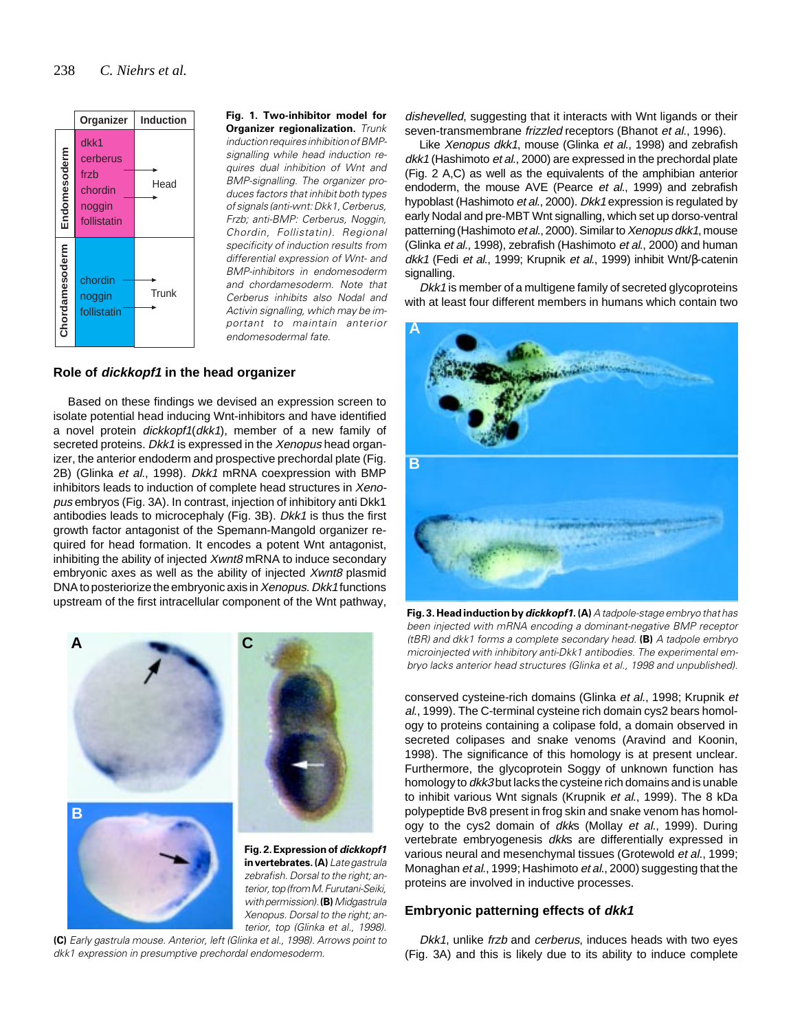

**Fig. 1. Two-inhibitor model for Organizer regionalization.** *Trunk induction requires inhibition of BMPsignalling while head induction requires dual inhibition of Wnt and BMP-signalling. The organizer produces factors that inhibit both types of signals (anti-wnt: Dkk1, Cerberus, Frzb; anti-BMP: Cerberus, Noggin, Chordin, Follistatin). Regional specificity of induction results from differential expression of Wnt- and BMP-inhibitors in endomesoderm and chordamesoderm. Note that Cerberus inhibits also Nodal and Activin signalling, which may be important to maintain anterior endomesodermal fate.*

## **Role of dickkopf1 in the head organizer**

Based on these findings we devised an expression screen to isolate potential head inducing Wnt-inhibitors and have identified a novel protein dickkopf1(dkk1), member of a new family of secreted proteins. Dkk1 is expressed in the Xenopus head organizer, the anterior endoderm and prospective prechordal plate (Fig. 2B) (Glinka et al., 1998). Dkk1 mRNA coexpression with BMP inhibitors leads to induction of complete head structures in Xenopus embryos (Fig. 3A). In contrast, injection of inhibitory anti Dkk1 antibodies leads to microcephaly (Fig. 3B). Dkk1 is thus the first growth factor antagonist of the Spemann-Mangold organizer required for head formation. It encodes a potent Wnt antagonist, inhibiting the ability of injected Xwnt8 mRNA to induce secondary embryonic axes as well as the ability of injected Xwnt8 plasmid DNA to posteriorize the embryonic axis in Xenopus. Dkk1 functions upstream of the first intracellular component of the Wnt pathway,



*terior, top (from M. Furutani-Seiki, with permission).* **(B)** *Midgastrula Xenopus. Dorsal to the right; anterior, top (Glinka et al., 1998).*

**(C)** *Early gastrula mouse. Anterior, left (Glinka et al., 1998). Arrows point to dkk1 expression in presumptive prechordal endomesoderm.*

dishevelled, suggesting that it interacts with Wnt ligands or their seven-transmembrane *frizzled* receptors (Bhanot *et al.*, 1996).

Like Xenopus dkk1, mouse (Glinka et al., 1998) and zebrafish dkk1 (Hashimoto et al., 2000) are expressed in the prechordal plate (Fig. 2 A,C) as well as the equivalents of the amphibian anterior endoderm, the mouse AVE (Pearce et al., 1999) and zebrafish hypoblast (Hashimoto et al., 2000). Dkk1 expression is regulated by early Nodal and pre-MBT Wnt signalling, which set up dorso-ventral patterning (Hashimoto et al., 2000). Similar to Xenopus dkk1, mouse (Glinka et al., 1998), zebrafish (Hashimoto et al., 2000) and human dkk1 (Fedi et al., 1999; Krupnik et al., 1999) inhibit Wnt/β-catenin signalling.

Dkk1 is member of a multigene family of secreted glycoproteins with at least four different members in humans which contain two



**Fig. 3. Head induction by dickkopf1.(A)** *A tadpole-stage embryo that has been injected with mRNA encoding a dominant-negative BMP receptor (tBR) and dkk1 forms a complete secondary head.* **(B)** *A tadpole embryo microinjected with inhibitory anti-Dkk1 antibodies. The experimental embryo lacks anterior head structures (Glinka et al., 1998 and unpublished).*

conserved cysteine-rich domains (Glinka et al., 1998; Krupnik et al., 1999). The C-terminal cysteine rich domain cys2 bears homology to proteins containing a colipase fold, a domain observed in secreted colipases and snake venoms (Aravind and Koonin, 1998). The significance of this homology is at present unclear. Furthermore, the glycoprotein Soggy of unknown function has homology to dkk3 but lacks the cysteine rich domains and is unable to inhibit various Wnt signals (Krupnik et al., 1999). The 8 kDa polypeptide Bv8 present in frog skin and snake venom has homology to the cys2 domain of dkks (Mollay et al., 1999). During vertebrate embryogenesis dkks are differentially expressed in various neural and mesenchymal tissues (Grotewold et al., 1999; Monaghan et al., 1999; Hashimoto et al., 2000) suggesting that the proteins are involved in inductive processes.

#### **Embryonic patterning effects of dkk1**

Dkk1, unlike frzb and cerberus, induces heads with two eyes (Fig. 3A) and this is likely due to its ability to induce complete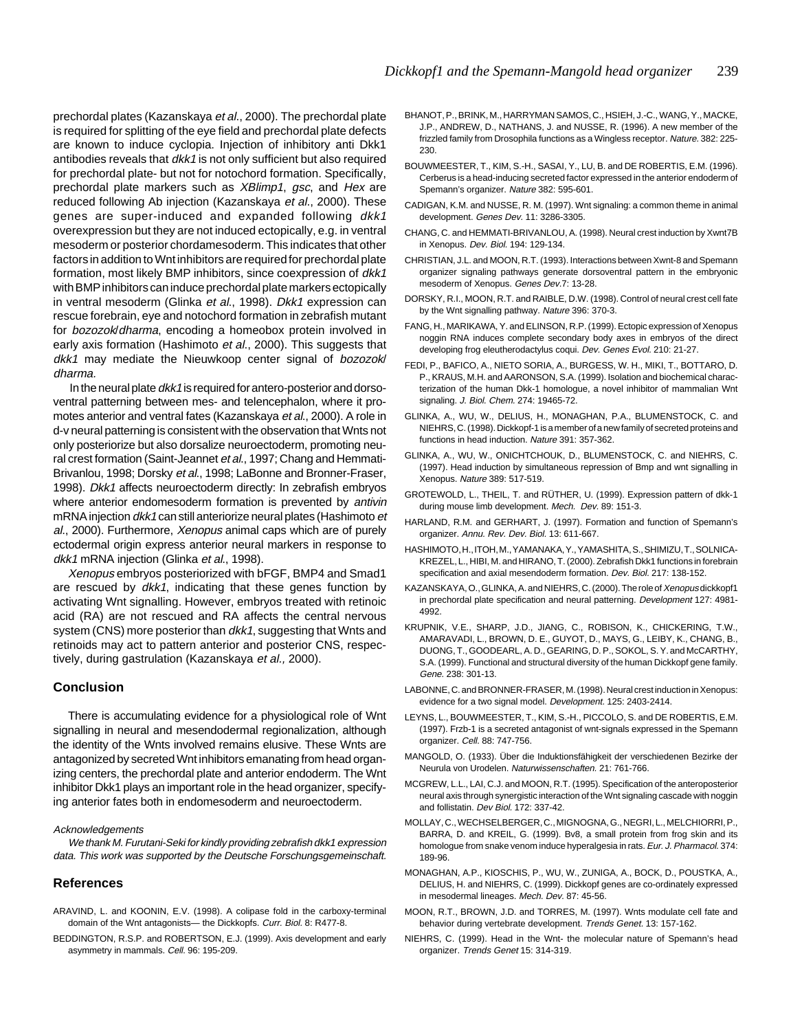prechordal plates (Kazanskaya et al., 2000). The prechordal plate is required for splitting of the eye field and prechordal plate defects are known to induce cyclopia. Injection of inhibitory anti Dkk1 antibodies reveals that  $dkk1$  is not only sufficient but also required for prechordal plate- but not for notochord formation. Specifically, prechordal plate markers such as XBlimp1, gsc, and Hex are reduced following Ab injection (Kazanskaya et al., 2000). These genes are super-induced and expanded following dkk1 overexpression but they are not induced ectopically, e.g. in ventral mesoderm or posterior chordamesoderm. This indicates that other factors in addition to Wnt inhibitors are required for prechordal plate formation, most likely BMP inhibitors, since coexpression of dkk1 with BMP inhibitors can induce prechordal plate markers ectopically in ventral mesoderm (Glinka et al., 1998). Dkk1 expression can rescue forebrain, eye and notochord formation in zebrafish mutant for bozozok/dharma, encoding a homeobox protein involved in early axis formation (Hashimoto et al., 2000). This suggests that dkk1 may mediate the Nieuwkoop center signal of bozozok/ dharma.

 In the neural plate dkk1 is required for antero-posterior and dorsoventral patterning between mes- and telencephalon, where it promotes anterior and ventral fates (Kazanskaya et al., 2000). A role in d-v neural patterning is consistent with the observation that Wnts not only posteriorize but also dorsalize neuroectoderm, promoting neural crest formation (Saint-Jeannet et al., 1997; Chang and Hemmati-Brivanlou, 1998; Dorsky et al., 1998; LaBonne and Bronner-Fraser, 1998). Dkk1 affects neuroectoderm directly: In zebrafish embryos where anterior endomesoderm formation is prevented by *antivin* mRNA injection dkk1 can still anteriorize neural plates (Hashimoto et al., 2000). Furthermore, Xenopus animal caps which are of purely ectodermal origin express anterior neural markers in response to dkk1 mRNA injection (Glinka et al., 1998).

Xenopus embryos posteriorized with bFGF, BMP4 and Smad1 are rescued by dkk1, indicating that these genes function by activating Wnt signalling. However, embryos treated with retinoic acid (RA) are not rescued and RA affects the central nervous system (CNS) more posterior than dkk1, suggesting that Wnts and retinoids may act to pattern anterior and posterior CNS, respectively, during gastrulation (Kazanskaya et al., 2000).

#### **Conclusion**

There is accumulating evidence for a physiological role of Wnt signalling in neural and mesendodermal regionalization, although the identity of the Wnts involved remains elusive. These Wnts are antagonized by secreted Wnt inhibitors emanating from head organizing centers, the prechordal plate and anterior endoderm. The Wnt inhibitor Dkk1 plays an important role in the head organizer, specifying anterior fates both in endomesoderm and neuroectoderm.

#### Acknowledgements

We thank M. Furutani-Seki for kindly providing zebrafish dkk1 expression data. This work was supported by the Deutsche Forschungsgemeinschaft.

#### **References**

- ARAVIND, L. and KOONIN, E.V. (1998). A colipase fold in the carboxy-terminal domain of the Wnt antagonists— the Dickkopfs. Curr. Biol. 8: R477-8.
- BEDDINGTON, R.S.P. and ROBERTSON, E.J. (1999). Axis development and early asymmetry in mammals. Cell. 96: 195-209.
- BHANOT, P., BRINK, M., HARRYMAN SAMOS, C., HSIEH, J.-C., WANG, Y., MACKE, J.P., ANDREW, D., NATHANS, J. and NUSSE, R. (1996). A new member of the frizzled family from Drosophila functions as a Wingless receptor. Nature. 382: 225- 230.
- BOUWMEESTER, T., KIM, S.-H., SASAI, Y., LU, B. and DE ROBERTIS, E.M. (1996). Cerberus is a head-inducing secreted factor expressed in the anterior endoderm of Spemann's organizer. Nature 382: 595-601.
- CADIGAN, K.M. and NUSSE, R. M. (1997). Wnt signaling: a common theme in animal development. Genes Dev. 11: 3286-3305.
- CHANG, C. and HEMMATI-BRIVANLOU, A. (1998). Neural crest induction by Xwnt7B in Xenopus. Dev. Biol. 194: 129-134.
- CHRISTIAN, J.L. and MOON, R.T. (1993). Interactions between Xwnt-8 and Spemann organizer signaling pathways generate dorsoventral pattern in the embryonic mesoderm of Xenopus. Genes Dev.7: 13-28.
- DORSKY, R.I., MOON, R.T. and RAIBLE, D.W. (1998). Control of neural crest cell fate by the Wnt signalling pathway. Nature 396: 370-3.
- FANG, H., MARIKAWA, Y. and ELINSON, R.P. (1999). Ectopic expression of Xenopus noggin RNA induces complete secondary body axes in embryos of the direct developing frog eleutherodactylus coqui. Dev. Genes Evol. 210: 21-27.
- FEDI, P., BAFICO, A., NIETO SORIA, A., BURGESS, W. H., MIKI, T., BOTTARO, D. P., KRAUS, M.H. and AARONSON, S.A. (1999). Isolation and biochemical characterization of the human Dkk-1 homologue, a novel inhibitor of mammalian Wnt signaling. J. Biol. Chem. 274: 19465-72.
- GLINKA, A., WU, W., DELIUS, H., MONAGHAN, P.A., BLUMENSTOCK, C. and NIEHRS, C. (1998). Dickkopf-1 is a member of a new family of secreted proteins and functions in head induction. Nature 391: 357-362.
- GLINKA, A., WU, W., ONICHTCHOUK, D., BLUMENSTOCK, C. and NIEHRS, C. (1997). Head induction by simultaneous repression of Bmp and wnt signalling in Xenopus. Nature 389: 517-519.
- GROTEWOLD, L., THEIL, T. and RÜTHER, U. (1999). Expression pattern of dkk-1 during mouse limb development. Mech. Dev. 89: 151-3.
- HARLAND, R.M. and GERHART, J. (1997). Formation and function of Spemann's organizer. Annu. Rev. Dev. Biol. 13: 611-667.
- HASHIMOTO, H., ITOH, M., YAMANAKA, Y., YAMASHITA, S., SHIMIZU, T., SOLNICA-KREZEL, L., HIBI, M. and HIRANO, T. (2000). Zebrafish Dkk1 functions in forebrain specification and axial mesendoderm formation. Dev. Biol. 217: 138-152.
- KAZANSKAYA, O., GLINKA, A. and NIEHRS, C. (2000). The role of Xenopus dickkopf1 in prechordal plate specification and neural patterning. Development 127: 4981- 4992.
- KRUPNIK, V.E., SHARP, J.D., JIANG, C., ROBISON, K., CHICKERING, T.W., AMARAVADI, L., BROWN, D. E., GUYOT, D., MAYS, G., LEIBY, K., CHANG, B., DUONG, T., GOODEARL, A. D., GEARING, D. P., SOKOL, S. Y. and McCARTHY, S.A. (1999). Functional and structural diversity of the human Dickkopf gene family. Gene. 238: 301-13.
- LABONNE, C. and BRONNER-FRASER, M. (1998). Neural crest induction in Xenopus: evidence for a two signal model. Development. 125: 2403-2414.
- LEYNS, L., BOUWMEESTER, T., KIM, S.-H., PICCOLO, S. and DE ROBERTIS, E.M. (1997). Frzb-1 is a secreted antagonist of wnt-signals expressed in the Spemann organizer. Cell. 88: 747-756.
- MANGOLD, O. (1933). Über die Induktionsfähigkeit der verschiedenen Bezirke der Neurula von Urodelen. Naturwissenschaften. 21: 761-766.
- MCGREW, L.L., LAI, C.J. and MOON, R.T. (1995). Specification of the anteroposterior neural axis through synergistic interaction of the Wnt signaling cascade with noggin and follistatin. Dev Biol. 172: 337-42.
- MOLLAY, C., WECHSELBERGER, C., MIGNOGNA, G., NEGRI, L., MELCHIORRI, P., BARRA, D. and KREIL, G. (1999). Bv8, a small protein from frog skin and its homologue from snake venom induce hyperalgesia in rats. Eur. J. Pharmacol. 374: 189-96.
- MONAGHAN, A.P., KIOSCHIS, P., WU, W., ZUNIGA, A., BOCK, D., POUSTKA, A., DELIUS, H. and NIEHRS, C. (1999). Dickkopf genes are co-ordinately expressed in mesodermal lineages. Mech. Dev. 87: 45-56.
- MOON, R.T., BROWN, J.D. and TORRES, M. (1997). Wnts modulate cell fate and behavior during vertebrate development. Trends Genet. 13: 157-162.
- NIEHRS, C. (1999). Head in the Wnt- the molecular nature of Spemann's head organizer. Trends Genet 15: 314-319.